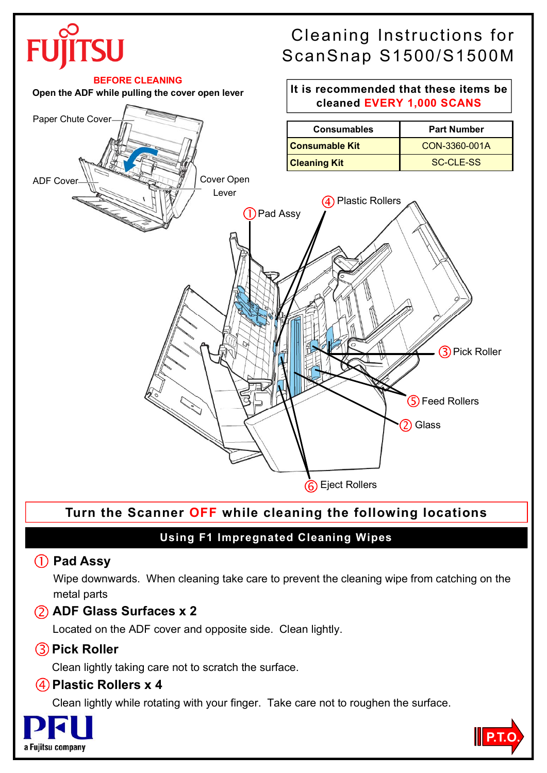# Cleaning Instructions for ScanSnap S1500/S1500M





# **Turn the Scanner OFF while cleaning the following locations**

# **Using F1 Impregnated Cleaning Wipes**

### **Pad Assy**

Wipe downwards. When cleaning take care to prevent the cleaning wipe from catching on the metal parts

# **ADF Glass Surfaces x 2**

Located on the ADF cover and opposite side. Clean lightly.

# **Pick Roller**

Clean lightly taking care not to scratch the surface.

### **Plastic Rollers x 4**

Clean lightly while rotating with your finger. Take care not to roughen the surface.